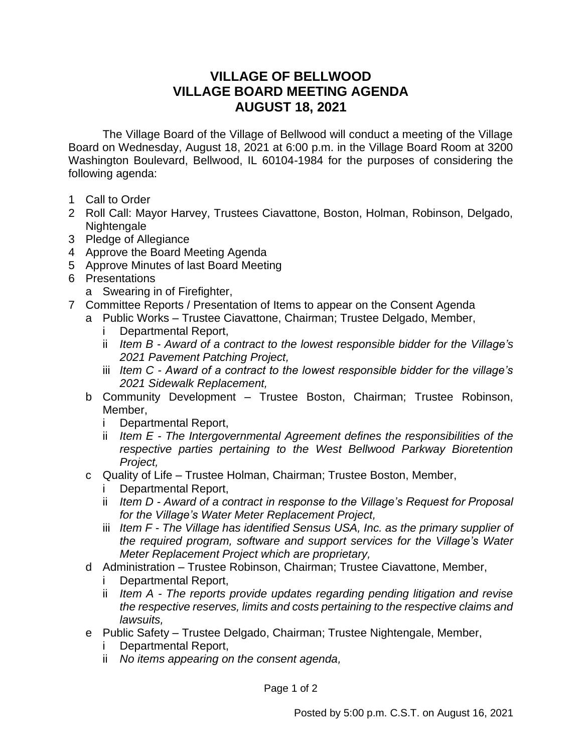## **VILLAGE OF BELLWOOD VILLAGE BOARD MEETING AGENDA AUGUST 18, 2021**

The Village Board of the Village of Bellwood will conduct a meeting of the Village Board on Wednesday, August 18, 2021 at 6:00 p.m. in the Village Board Room at 3200 Washington Boulevard, Bellwood, IL 60104-1984 for the purposes of considering the following agenda:

- 1 Call to Order
- 2 Roll Call: Mayor Harvey, Trustees Ciavattone, Boston, Holman, Robinson, Delgado, Nightengale
- 3 Pledge of Allegiance
- 4 Approve the Board Meeting Agenda
- 5 Approve Minutes of last Board Meeting
- 6 Presentations
	- a Swearing in of Firefighter,
- 7 Committee Reports / Presentation of Items to appear on the Consent Agenda
	- a Public Works Trustee Ciavattone, Chairman; Trustee Delgado, Member,
		- i Departmental Report,
		- ii *Item B - Award of a contract to the lowest responsible bidder for the Village's 2021 Pavement Patching Project,*
		- iii *Item C - Award of a contract to the lowest responsible bidder for the village's 2021 Sidewalk Replacement,*
	- b Community Development Trustee Boston, Chairman; Trustee Robinson, Member,
		- i Departmental Report,
		- ii *Item E - The Intergovernmental Agreement defines the responsibilities of the respective parties pertaining to the West Bellwood Parkway Bioretention Project,*
	- c Quality of Life Trustee Holman, Chairman; Trustee Boston, Member,
		- i Departmental Report,
		- ii *Item D - Award of a contract in response to the Village's Request for Proposal for the Village's Water Meter Replacement Project,*
		- iii *Item F - The Village has identified Sensus USA, Inc. as the primary supplier of the required program, software and support services for the Village's Water Meter Replacement Project which are proprietary,*
	- d Administration Trustee Robinson, Chairman; Trustee Ciavattone, Member,
		- i Departmental Report,
		- ii *Item A - The reports provide updates regarding pending litigation and revise the respective reserves, limits and costs pertaining to the respective claims and lawsuits,*
	- e Public Safety Trustee Delgado, Chairman; Trustee Nightengale, Member,
		- i Departmental Report,
		- ii *No items appearing on the consent agenda,*